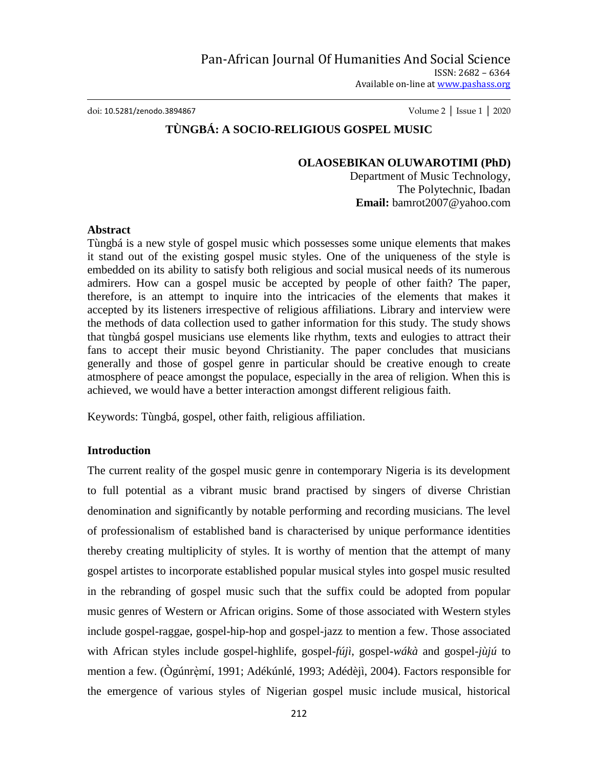doi: 10.5281/zenodo.3894867 Volume 2 │ Issue 1 │ 2020

# **TÙNGBÁ: A SOCIO-RELIGIOUS GOSPEL MUSIC**

#### **OLAOSEBIKAN OLUWAROTIMI (PhD)**

Department of Music Technology, The Polytechnic, Ibadan **Email:** bamrot2007@yahoo.com

### **Abstract**

Tùngbá is a new style of gospel music which possesses some unique elements that makes it stand out of the existing gospel music styles. One of the uniqueness of the style is embedded on its ability to satisfy both religious and social musical needs of its numerous admirers. How can a gospel music be accepted by people of other faith? The paper, therefore, is an attempt to inquire into the intricacies of the elements that makes it accepted by its listeners irrespective of religious affiliations. Library and interview were the methods of data collection used to gather information for this study. The study shows that tùngbá gospel musicians use elements like rhythm, texts and eulogies to attract their fans to accept their music beyond Christianity. The paper concludes that musicians generally and those of gospel genre in particular should be creative enough to create atmosphere of peace amongst the populace, especially in the area of religion. When this is achieved, we would have a better interaction amongst different religious faith.

Keywords: Tùngbá, gospel, other faith, religious affiliation.

## **Introduction**

The current reality of the gospel music genre in contemporary Nigeria is its development to full potential as a vibrant music brand practised by singers of diverse Christian denomination and significantly by notable performing and recording musicians. The level of professionalism of established band is characterised by unique performance identities thereby creating multiplicity of styles. It is worthy of mention that the attempt of many gospel artistes to incorporate established popular musical styles into gospel music resulted in the rebranding of gospel music such that the suffix could be adopted from popular music genres of Western or African origins. Some of those associated with Western styles include gospel-raggae, gospel-hip-hop and gospel-jazz to mention a few. Those associated with African styles include gospel-highlife, gospel-*fújì*, gospel-*wákà* and gospel-*jùjú* to mention a few. (Ògúnrèmí, 1991; Adékúnlé, 1993; Adédèjì, 2004). Factors responsible for the emergence of various styles of Nigerian gospel music include musical, historical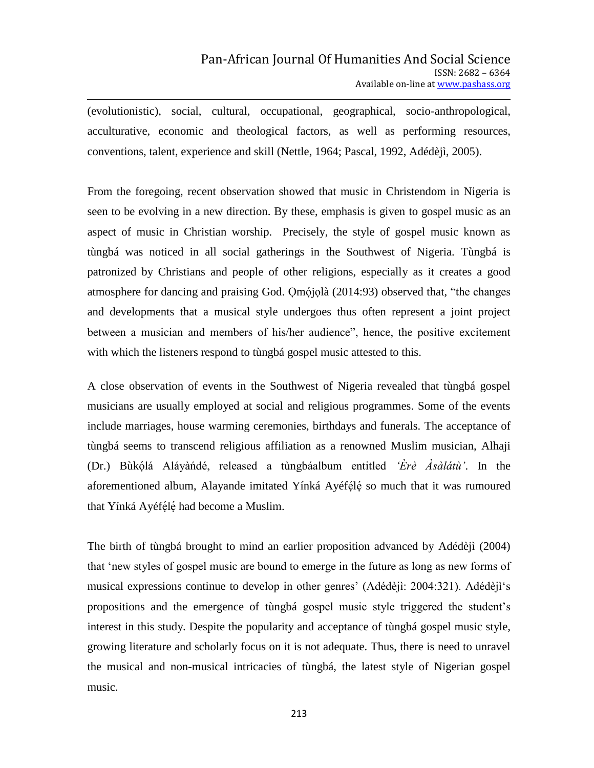(evolutionistic), social, cultural, occupational, geographical, socio-anthropological, acculturative, economic and theological factors, as well as performing resources, conventions, talent, experience and skill (Nettle, 1964; Pascal, 1992, Adédèjì, 2005).

From the foregoing, recent observation showed that music in Christendom in Nigeria is seen to be evolving in a new direction. By these, emphasis is given to gospel music as an aspect of music in Christian worship. Precisely, the style of gospel music known as tùngbá was noticed in all social gatherings in the Southwest of Nigeria. Tùngbá is patronized by Christians and people of other religions, especially as it creates a good atmosphere for dancing and praising God. Qmójolà (2014:93) observed that, "the changes and developments that a musical style undergoes thus often represent a joint project between a musician and members of his/her audience", hence, the positive excitement with which the listeners respond to tùngbá gospel music attested to this.

A close observation of events in the Southwest of Nigeria revealed that tùngbá gospel musicians are usually employed at social and religious programmes. Some of the events include marriages, house warming ceremonies, birthdays and funerals. The acceptance of tùngbá seems to transcend religious affiliation as a renowned Muslim musician, Alhaji (Dr.) Bùkólá Aláyàndé, released a tùngbáalbum entitled *'Èrè Àsàlátù'*. In the aforementioned album, Alayande imitated Yínká Ayéfélé so much that it was rumoured that Yínká Ayéfélé had become a Muslim.

The birth of tùngbá brought to mind an earlier proposition advanced by Adédèjì (2004) that "new styles of gospel music are bound to emerge in the future as long as new forms of musical expressions continue to develop in other genres' (Adédèjì: 2004:321). Adédèjì's propositions and the emergence of tùngbá gospel music style triggered the student"s interest in this study. Despite the popularity and acceptance of tùngbá gospel music style, growing literature and scholarly focus on it is not adequate. Thus, there is need to unravel the musical and non-musical intricacies of tùngbá, the latest style of Nigerian gospel music.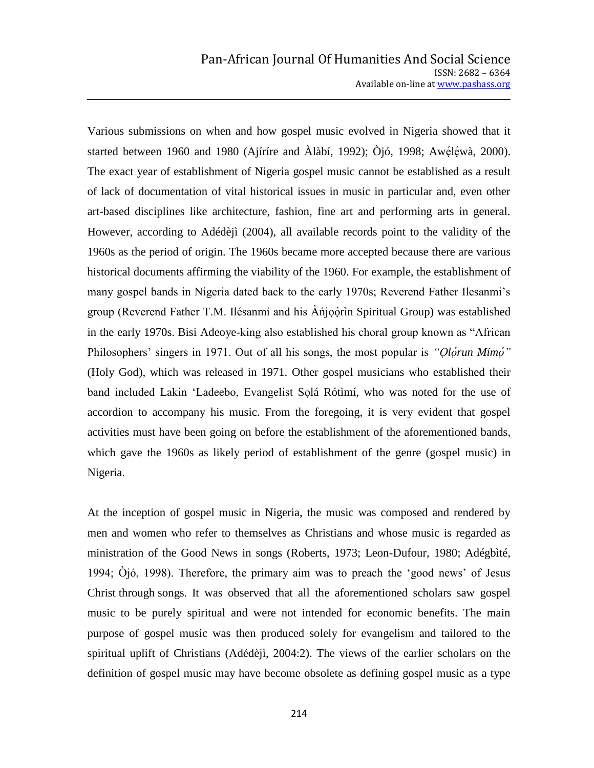Various submissions on when and how gospel music evolved in Nigeria showed that it started between 1960 and 1980 (Ajíríre and Àlàbí, 1992); Òjó, 1998; Awéléwà, 2000). The exact year of establishment of Nigeria gospel music cannot be established as a result of lack of documentation of vital historical issues in music in particular and, even other art-based disciplines like architecture, fashion, fine art and performing arts in general. However, according to Adédèjì (2004), all available records point to the validity of the 1960s as the period of origin. The 1960s became more accepted because there are various historical documents affirming the viability of the 1960. For example, the establishment of many gospel bands in Nigeria dated back to the early 1970s; Reverend Father Ilesanmi"s group (Reverend Father T.M. Ilésanmí and his Anjo  $\phi$ rin Spiritual Group) was established in the early 1970s. Bisi Adeoye-king also established his choral group known as "African Philosophers' singers in 1971. Out of all his songs, the most popular is *"Olorun Mímo"* (Holy God), which was released in 1971. Other gospel musicians who established their band included Lakin 'Ladeebo, Evangelist Solá Rótimí, who was noted for the use of accordion to accompany his music. From the foregoing, it is very evident that gospel activities must have been going on before the establishment of the aforementioned bands, which gave the 1960s as likely period of establishment of the genre (gospel music) in Nigeria.

At the inception of gospel music in Nigeria, the music was composed and rendered by men and women who refer to themselves as Christians and whose music is regarded as ministration of the Good News in songs (Roberts, 1973; Leon-Dufour, 1980; Adégbìté, 1994; Òjó, 1998). Therefore, the primary aim was to preach the "good news" of Jesus Christ through songs. It was observed that all the aforementioned scholars saw gospel music to be purely spiritual and were not intended for economic benefits. The main purpose of gospel music was then produced solely for evangelism and tailored to the spiritual uplift of Christians (Adédèjì, 2004:2). The views of the earlier scholars on the definition of gospel music may have become obsolete as defining gospel music as a type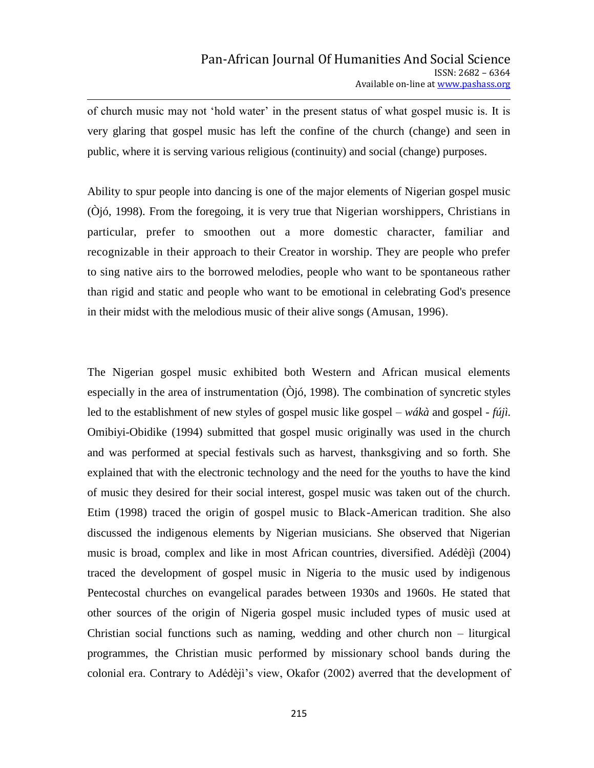of church music may not "hold water" in the present status of what gospel music is. It is very glaring that gospel music has left the confine of the church (change) and seen in public, where it is serving various religious (continuity) and social (change) purposes.

Ability to spur people into dancing is one of the major elements of Nigerian gospel music (Òjó, 1998). From the foregoing, it is very true that Nigerian worshippers, Christians in particular, prefer to smoothen out a more domestic character, familiar and recognizable in their approach to their Creator in worship. They are people who prefer to sing native airs to the borrowed melodies, people who want to be spontaneous rather than rigid and static and people who want to be emotional in celebrating God's presence in their midst with the melodious music of their alive songs (Amusan, 1996).

The Nigerian gospel music exhibited both Western and African musical elements especially in the area of instrumentation (Òjó, 1998). The combination of syncretic styles led to the establishment of new styles of gospel music like gospel – *wákà* and gospel - *fújì.*  Omibiyi-Obidike (1994) submitted that gospel music originally was used in the church and was performed at special festivals such as harvest, thanksgiving and so forth. She explained that with the electronic technology and the need for the youths to have the kind of music they desired for their social interest, gospel music was taken out of the church. Etim (1998) traced the origin of gospel music to Black-American tradition. She also discussed the indigenous elements by Nigerian musicians. She observed that Nigerian music is broad, complex and like in most African countries, diversified. Adédèjì (2004) traced the development of gospel music in Nigeria to the music used by indigenous Pentecostal churches on evangelical parades between 1930s and 1960s. He stated that other sources of the origin of Nigeria gospel music included types of music used at Christian social functions such as naming, wedding and other church non – liturgical programmes, the Christian music performed by missionary school bands during the colonial era. Contrary to Adédèjì"s view, Okafor (2002) averred that the development of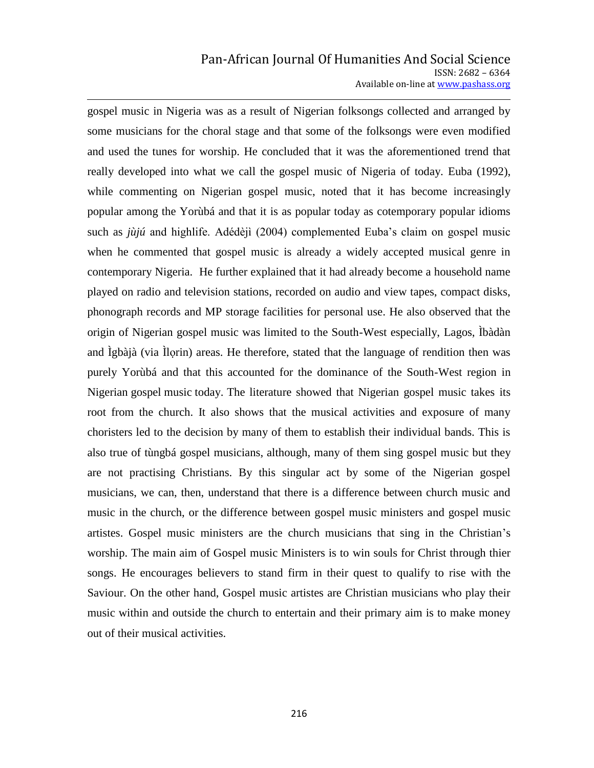#### Pan-African Journal Of Humanities And Social Science ISSN: 2682 – 6364 Available on-line at www.pashass.org

gospel music in Nigeria was as a result of Nigerian folksongs collected and arranged by some musicians for the choral stage and that some of the folksongs were even modified and used the tunes for worship. He concluded that it was the aforementioned trend that really developed into what we call the gospel music of Nigeria of today. Euba (1992), while commenting on Nigerian gospel music, noted that it has become increasingly popular among the Yorùbá and that it is as popular today as cotemporary popular idioms such as *jùjú* and highlife. Adédèjì (2004) complemented Euba"s claim on gospel music when he commented that gospel music is already a widely accepted musical genre in contemporary Nigeria. He further explained that it had already become a household name played on radio and television stations, recorded on audio and view tapes, compact disks, phonograph records and MP storage facilities for personal use. He also observed that the origin of Nigerian gospel music was limited to the South-West especially, Lagos, Ìbàdàn and Ìgbàjà (via Ìlorin) areas. He therefore, stated that the language of rendition then was purely Yorùbá and that this accounted for the dominance of the South-West region in Nigerian gospel music today. The literature showed that Nigerian gospel music takes its root from the church. It also shows that the musical activities and exposure of many choristers led to the decision by many of them to establish their individual bands. This is also true of tùngbá gospel musicians, although, many of them sing gospel music but they are not practising Christians. By this singular act by some of the Nigerian gospel musicians, we can, then, understand that there is a difference between church music and music in the church, or the difference between gospel music ministers and gospel music artistes. Gospel music ministers are the church musicians that sing in the Christian"s worship. The main aim of Gospel music Ministers is to win souls for Christ through thier songs. He encourages believers to stand firm in their quest to qualify to rise with the Saviour. On the other hand, Gospel music artistes are Christian musicians who play their music within and outside the church to entertain and their primary aim is to make money out of their musical activities.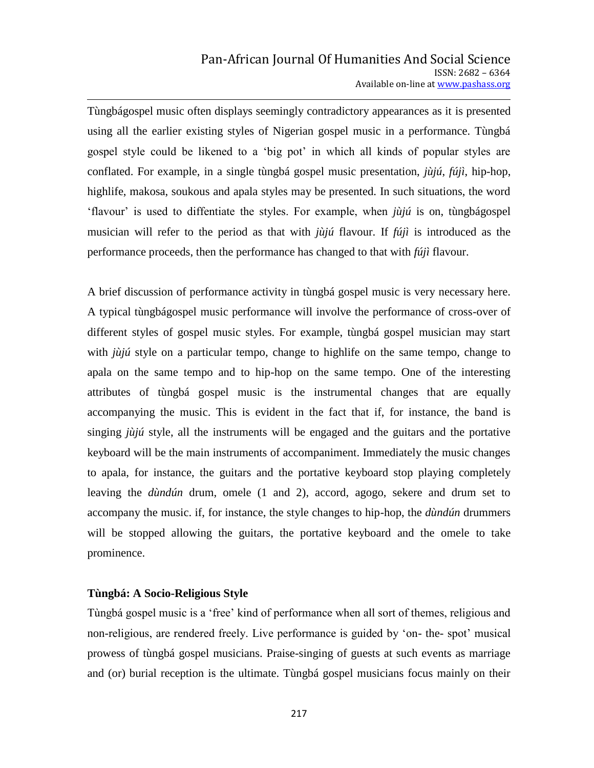Tùngbágospel music often displays seemingly contradictory appearances as it is presented using all the earlier existing styles of Nigerian gospel music in a performance. Tùngbá gospel style could be likened to a "big pot" in which all kinds of popular styles are conflated. For example, in a single tùngbá gospel music presentation, *jùjú*, *fújì*, hip-hop, highlife, makosa, soukous and apala styles may be presented. In such situations, the word "flavour" is used to diffentiate the styles. For example, when *jùjú* is on, tùngbágospel musician will refer to the period as that with *jùjú* flavour. If *fújì* is introduced as the performance proceeds, then the performance has changed to that with *fújì* flavour.

A brief discussion of performance activity in tùngbá gospel music is very necessary here. A typical tùngbágospel music performance will involve the performance of cross-over of different styles of gospel music styles. For example, tùngbá gospel musician may start with *jùjú* style on a particular tempo, change to highlife on the same tempo, change to apala on the same tempo and to hip-hop on the same tempo. One of the interesting attributes of tùngbá gospel music is the instrumental changes that are equally accompanying the music. This is evident in the fact that if, for instance, the band is singing *jùjú* style, all the instruments will be engaged and the guitars and the portative keyboard will be the main instruments of accompaniment. Immediately the music changes to apala, for instance, the guitars and the portative keyboard stop playing completely leaving the *dùndún* drum, omele (1 and 2), accord, agogo, sekere and drum set to accompany the music. if, for instance, the style changes to hip-hop, the *dùndún* drummers will be stopped allowing the guitars, the portative keyboard and the omele to take prominence.

#### **Tùngbá: A Socio-Religious Style**

Tùngbá gospel music is a "free" kind of performance when all sort of themes, religious and non-religious, are rendered freely. Live performance is guided by "on- the- spot" musical prowess of tùngbá gospel musicians. Praise-singing of guests at such events as marriage and (or) burial reception is the ultimate. Tùngbá gospel musicians focus mainly on their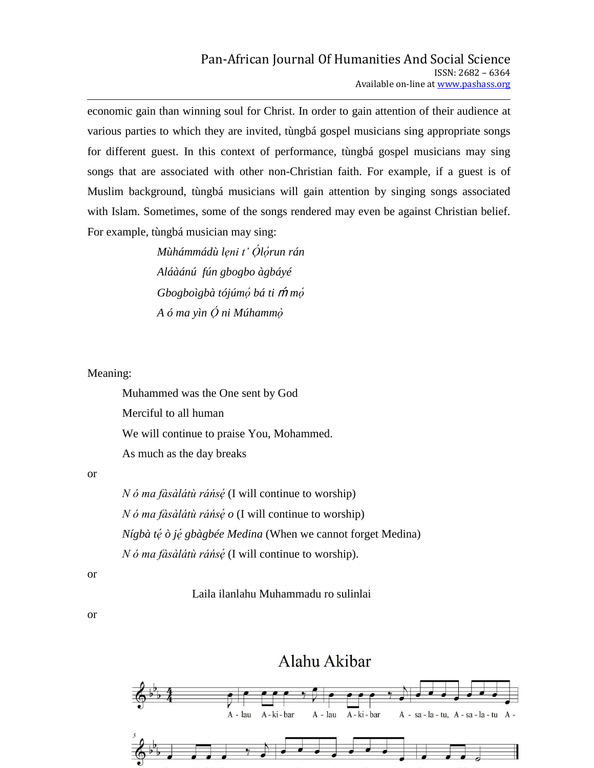economic gain than winning soul for Christ. In order to gain attention of their audience at various parties to which they are invited, tùngbá gospel musicians sing appropriate songs for different guest. In this context of performance, tùngbá gospel musicians may sing songs that are associated with other non-Christian faith. For example, if a guest is of Muslim background, tùngbá musicians will gain attention by singing songs associated with Islam. Sometimes, some of the songs rendered may even be against Christian belief. For example, tùngbá musician may sing:

> *Mùhámmádù leni t' Ólórun rán Aláàánú fún gbogbo àgbáyé Gbogboìgbà tójúmọ́ bá ti m̃ mọ́ A ó ma yìn Ọ ni Múhamm*

Meaning:

Muhammed was the One sent by God Merciful to all human We will continue to praise You, Mohammed. As much as the day breaks

or

*N ó ma fàsàlátù ráńsẹ* (I will continue to worship) *N ó ma fàsàlátù ráńsẹ o* (I will continue to worship) *Nígbà té ò jé gbàgbée Medina* (When we cannot forget Medina) *N ó ma fàsàlátù ráńsẹ* (I will continue to worship).

or

Laila ilanlahu Muhammadu ro sulinlai

or

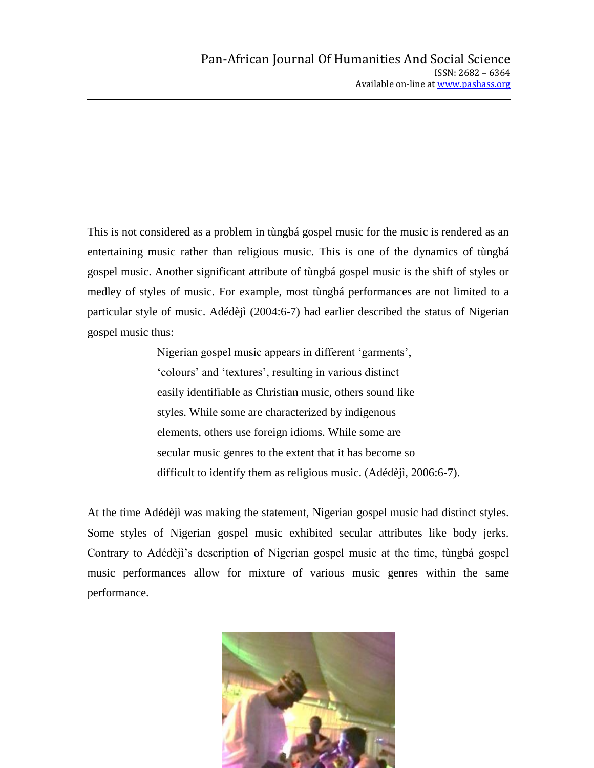This is not considered as a problem in tùngbá gospel music for the music is rendered as an entertaining music rather than religious music. This is one of the dynamics of tùngbá gospel music. Another significant attribute of tùngbá gospel music is the shift of styles or medley of styles of music. For example, most tùngbá performances are not limited to a particular style of music. Adédèjì (2004:6-7) had earlier described the status of Nigerian gospel music thus:

> Nigerian gospel music appears in different "garments", "colours" and "textures", resulting in various distinct easily identifiable as Christian music, others sound like styles. While some are characterized by indigenous elements, others use foreign idioms. While some are secular music genres to the extent that it has become so difficult to identify them as religious music. (Adédèjì, 2006:6-7).

At the time Adédèjì was making the statement, Nigerian gospel music had distinct styles. Some styles of Nigerian gospel music exhibited secular attributes like body jerks. Contrary to Adédèjì"s description of Nigerian gospel music at the time, tùngbá gospel music performances allow for mixture of various music genres within the same performance.

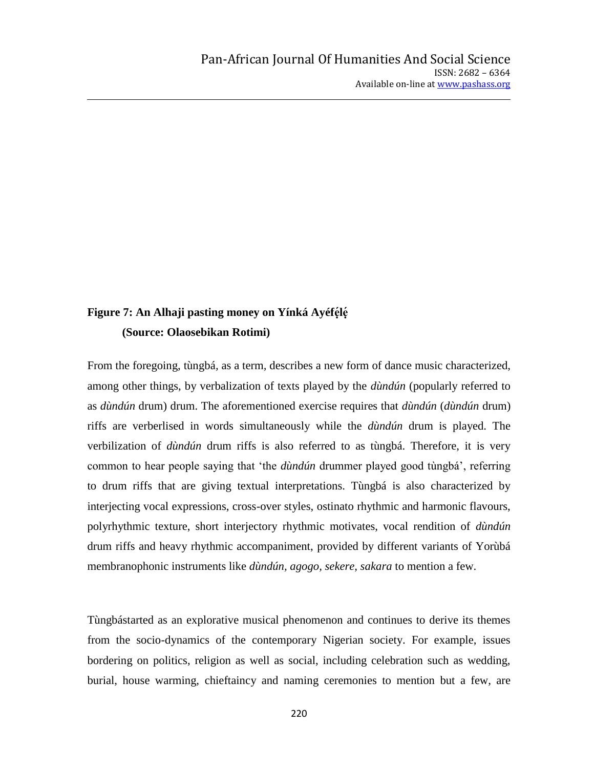# Figure 7: An Alhaji pasting money on Yínká Ayéfélé **(Source: Olaosebikan Rotimi)**

From the foregoing, tùngbá*,* as a term*,* describes a new form of dance music characterized, among other things, by verbalization of texts played by the *dùndún* (popularly referred to as *dùndún* drum) drum. The aforementioned exercise requires that *dùndún* (*dùndún* drum) riffs are verberlised in words simultaneously while the *dùndún* drum is played. The verbilization of *dùndún* drum riffs is also referred to as tùngbá. Therefore, it is very common to hear people saying that "the *dùndún* drummer played good tùngbá", referring to drum riffs that are giving textual interpretations. Tùngbá is also characterized by interjecting vocal expressions, cross-over styles, ostinato rhythmic and harmonic flavours, polyrhythmic texture, short interjectory rhythmic motivates, vocal rendition of *dùndún* drum riffs and heavy rhythmic accompaniment, provided by different variants of Yorùbá membranophonic instruments like *dùndún, agogo, sekere, sakara* to mention a few.

Tùngbástarted as an explorative musical phenomenon and continues to derive its themes from the socio-dynamics of the contemporary Nigerian society. For example, issues bordering on politics, religion as well as social, including celebration such as wedding, burial, house warming, chieftaincy and naming ceremonies to mention but a few, are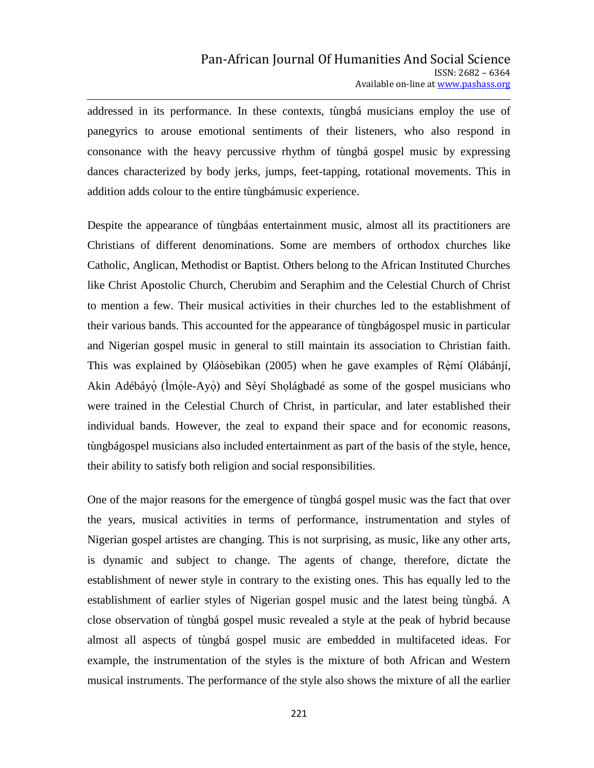addressed in its performance. In these contexts, tùngbá musicians employ the use of panegyrics to arouse emotional sentiments of their listeners, who also respond in consonance with the heavy percussive rhythm of tùngbá gospel music by expressing dances characterized by body jerks, jumps, feet-tapping, rotational movements. This in addition adds colour to the entire tùngbámusic experience.

Despite the appearance of tùngbáas entertainment music, almost all its practitioners are Christians of different denominations. Some are members of orthodox churches like Catholic, Anglican, Methodist or Baptist. Others belong to the African Instituted Churches like Christ Apostolic Church, Cherubim and Seraphim and the Celestial Church of Christ to mention a few. Their musical activities in their churches led to the establishment of their various bands. This accounted for the appearance of tùngbágospel music in particular and Nigerian gospel music in general to still maintain its association to Christian faith. This was explained by Qláòsebìkan (2005) when he gave examples of Rèmí Qlábánjí, Akin Adébáyọ̀ (Ìmọ́le-Ayọ̀) and Sèyí Shọlágbadé as some of the gospel musicians who were trained in the Celestial Church of Christ, in particular, and later established their individual bands. However, the zeal to expand their space and for economic reasons, tùngbágospel musicians also included entertainment as part of the basis of the style, hence, their ability to satisfy both religion and social responsibilities.

One of the major reasons for the emergence of tùngbá gospel music was the fact that over the years, musical activities in terms of performance, instrumentation and styles of Nigerian gospel artistes are changing. This is not surprising, as music, like any other arts, is dynamic and subject to change. The agents of change, therefore, dictate the establishment of newer style in contrary to the existing ones. This has equally led to the establishment of earlier styles of Nigerian gospel music and the latest being tùngbá. A close observation of tùngbá gospel music revealed a style at the peak of hybrid because almost all aspects of tùngbá gospel music are embedded in multifaceted ideas. For example, the instrumentation of the styles is the mixture of both African and Western musical instruments. The performance of the style also shows the mixture of all the earlier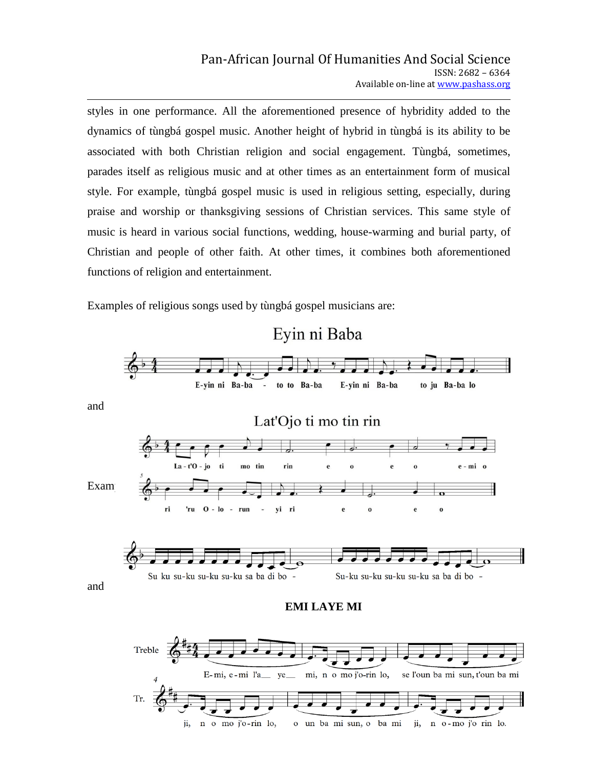styles in one performance. All the aforementioned presence of hybridity added to the dynamics of tùngbá gospel music. Another height of hybrid in tùngbá is its ability to be associated with both Christian religion and social engagement. Tùngbá, sometimes, parades itself as religious music and at other times as an entertainment form of musical style. For example, tùngbá gospel music is used in religious setting, especially, during praise and worship or thanksgiving sessions of Christian services. This same style of music is heard in various social functions, wedding, house-warming and burial party, of Christian and people of other faith. At other times, it combines both aforementioned functions of religion and entertainment.

Examples of religious songs used by tùngbá gospel musicians are:

n o mo j'o-rin lo,

ji,



o un ba mi sun, o ba mi

ji, n o-mo j'o rin lo.

and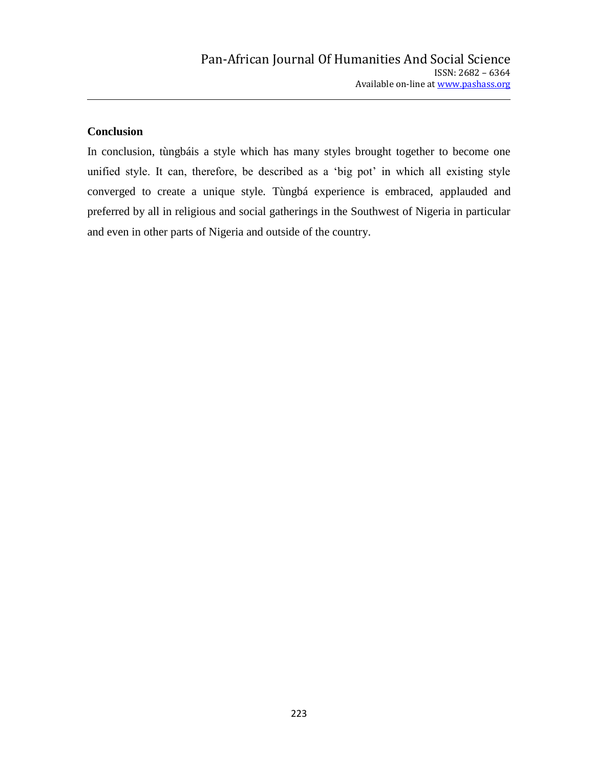# **Conclusion**

In conclusion, tùngbáis a style which has many styles brought together to become one unified style. It can, therefore, be described as a 'big pot' in which all existing style converged to create a unique style*.* Tùngbá experience is embraced, applauded and preferred by all in religious and social gatherings in the Southwest of Nigeria in particular and even in other parts of Nigeria and outside of the country.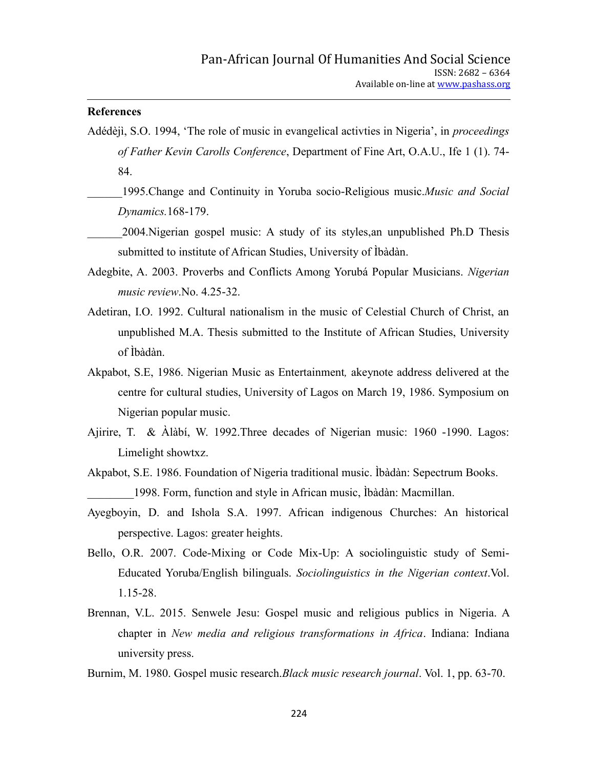### **References**

- Adédèjì, S.O. 1994, "The role of music in evangelical activties in Nigeria", in *proceedings of Father Kevin Carolls Conference*, Department of Fine Art, O.A.U., Ife 1 (1). 74- 84.
	- \_\_\_\_\_\_1995.Change and Continuity in Yoruba socio-Religious music.*Music and Social Dynamics.*168-179.

\_\_\_\_\_\_2004.Nigerian gospel music: A study of its styles,an unpublished Ph.D Thesis submitted to institute of African Studies, University of Ìbàdàn.

- Adegbite, A. 2003. Proverbs and Conflicts Among Yorubá Popular Musicians. *Nigerian music review*.No. 4.25-32.
- Adetiran, I.O. 1992. Cultural nationalism in the music of Celestial Church of Christ, an unpublished M.A. Thesis submitted to the Institute of African Studies, University of Ìbàdàn.
- Akpabot, S.E, 1986. Nigerian Music as Entertainment*,* akeynote address delivered at the centre for cultural studies, University of Lagos on March 19, 1986. Symposium on Nigerian popular music.
- Ajirire, T. & Àlàbí, W. 1992.Three decades of Nigerian music: 1960 -1990. Lagos: Limelight showtxz.
- Akpabot, S.E. 1986. Foundation of Nigeria traditional music. Ìbàdàn: Sepectrum Books. \_\_\_\_\_\_\_\_1998. Form, function and style in African music, Ìbàdàn: Macmillan.
- Ayegboyin, D. and Ishola S.A. 1997. African indigenous Churches: An historical perspective. Lagos: greater heights.
- Bello, O.R. 2007. Code-Mixing or Code Mix-Up: A sociolinguistic study of Semi-Educated Yoruba/English bilinguals. *Sociolinguistics in the Nigerian context*.Vol. 1.15-28.
- Brennan, V.L. 2015. Senwele Jesu: Gospel music and religious publics in Nigeria. A chapter in *New media and religious transformations in Africa*. Indiana: Indiana university press.

Burnim, M. 1980. Gospel music research.*Black music research journal*. Vol. 1, pp. 63-70.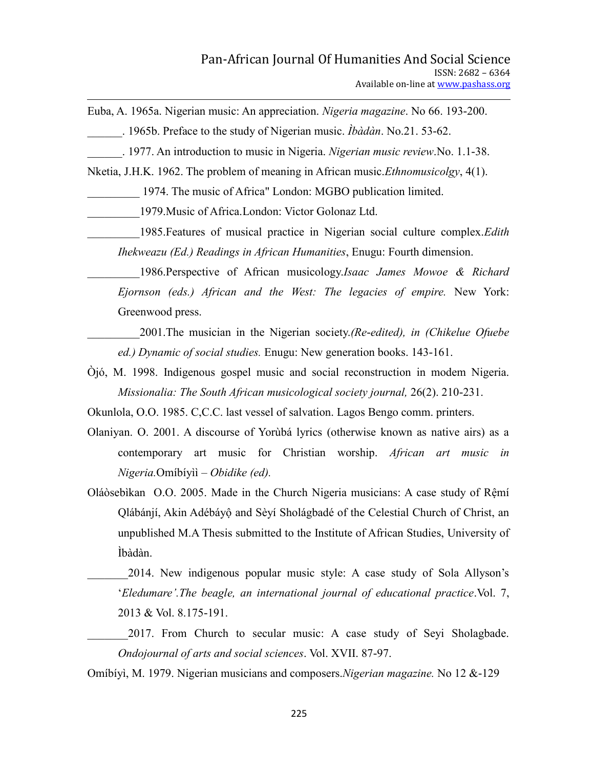Euba, A. 1965a. Nigerian music: An appreciation. *Nigeria magazine*. No 66. 193-200.

\_\_\_\_\_\_. 1965b. Preface to the study of Nigerian music. *Ìbàdàn*. No.21. 53-62.

\_\_\_\_\_\_. 1977. An introduction to music in Nigeria. *Nigerian music review*.No. 1.1-38.

Nketia, J.H.K. 1962. The problem of meaning in African music.*Ethnomusicolgy*, 4(1).

\_\_\_\_\_\_\_\_\_ 1974. The music of Africa" London: MGBO publication limited.

\_\_\_\_\_\_\_\_\_1979.Music of Africa.London: Victor Golonaz Ltd.

\_\_\_\_\_\_\_\_\_1985.Features of musical practice in Nigerian social culture complex.*Edith Ihekweazu (Ed.) Readings in African Humanities*, Enugu: Fourth dimension.

\_\_\_\_\_\_\_\_\_1986.Perspective of African musicology.*Isaac James Mowoe & Richard Ejornson (eds.) African and the West: The legacies of empire.* New York: Greenwood press.

\_\_\_\_\_\_\_\_\_2001.The musician in the Nigerian society.*(Re-edited), in (Chikelue Ofuebe ed.) Dynamic of social studies.* Enugu: New generation books. 143-161.

Òjó, M. 1998. Indigenous gospel music and social reconstruction in modem Nigeria. *Missionalia: The South African musicological society journal,* 26(2). 210-231.

Okunlola, O.O. 1985. C,C.C. last vessel of salvation. Lagos Bengo comm. printers.

- Olaniyan. O. 2001. A discourse of Yorùbá lyrics (otherwise known as native airs) as a contemporary art music for Christian worship. *African art music in Nigeria.*Omíbíyìì *– Obidike (ed).*
- Oláòsebìkan O.O. 2005. Made in the Church Nigeria musicians: A case study of Rệmí Qlábánjí, Akin Adébáyộ and Sèyí Sholágbadé of the Celestial Church of Christ, an unpublished M.A Thesis submitted to the Institute of African Studies, University of Ìbàdàn.

2014. New indigenous popular music style: A case study of Sola Allyson's "*Eledumare".The beagle, an international journal of educational practice*.Vol. 7, 2013 & Vol. 8.175-191.

2017. From Church to secular music: A case study of Seyi Sholagbade. *Ondojournal of arts and social sciences*. Vol. XVII. 87-97.

Omíbíyì, M. 1979. Nigerian musicians and composers.*Nigerian magazine.* No 12 &-129